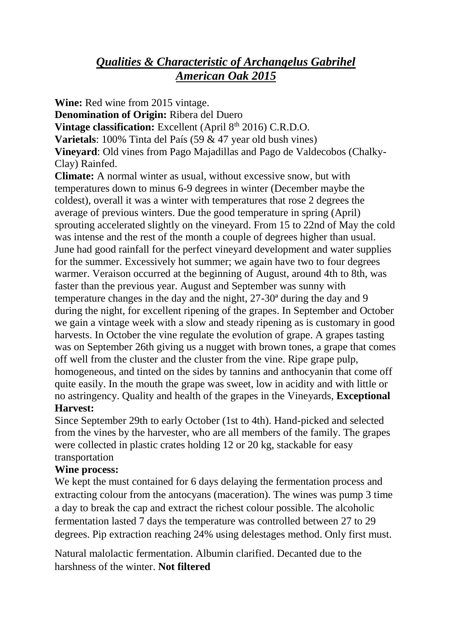# *Qualities & Characteristic of Archangelus Gabrihel American Oak 2015*

**Wine:** Red wine from 2015 vintage.

**Denomination of Origin:** Ribera del Duero

Vintage classification: Excellent (April 8<sup>th</sup> 2016) C.R.D.O.

**Varietals**: 100% Tinta del País (59 & 47 year old bush vines)

**Vineyard**: Old vines from Pago Majadillas and Pago de Valdecobos (Chalky-Clay) Rainfed.

**Climate:** A normal winter as usual, without excessive snow, but with temperatures down to minus 6-9 degrees in winter (December maybe the coldest), overall it was a winter with temperatures that rose 2 degrees the average of previous winters. Due the good temperature in spring (April) sprouting accelerated slightly on the vineyard. From 15 to 22nd of May the cold was intense and the rest of the month a couple of degrees higher than usual. June had good rainfall for the perfect vineyard development and water supplies for the summer. Excessively hot summer; we again have two to four degrees warmer. Veraison occurred at the beginning of August, around 4th to 8th, was faster than the previous year. August and September was sunny with temperature changes in the day and the night, 27-30ª during the day and 9 during the night, for excellent ripening of the grapes. In September and October we gain a vintage week with a slow and steady ripening as is customary in good harvests. In October the vine regulate the evolution of grape. A grapes tasting was on September 26th giving us a nugget with brown tones, a grape that comes off well from the cluster and the cluster from the vine. Ripe grape pulp, homogeneous, and tinted on the sides by tannins and anthocyanin that come off quite easily. In the mouth the grape was sweet, low in acidity and with little or no astringency. Quality and health of the grapes in the Vineyards, **Exceptional**

# **Harvest:**

Since September 29th to early October (1st to 4th). Hand-picked and selected from the vines by the harvester, who are all members of the family. The grapes were collected in plastic crates holding 12 or 20 kg, stackable for easy transportation

# **Wine process:**

We kept the must contained for 6 days delaying the fermentation process and extracting colour from the antocyans (maceration). The wines was pump 3 time a day to break the cap and extract the richest colour possible. The alcoholic fermentation lasted 7 days the temperature was controlled between 27 to 29 degrees. Pip extraction reaching 24% using delestages method. Only first must.

Natural malolactic fermentation. Albumin clarified. Decanted due to the harshness of the winter. **Not filtered**